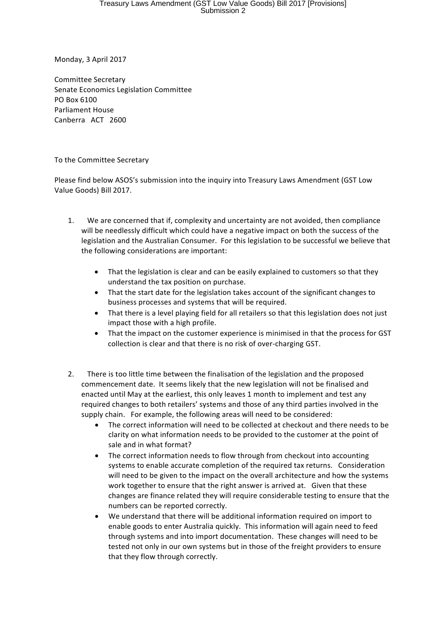Monday, 3 April 2017

Committee Secretary Senate Economics Legislation Committee PO Box 6100 Parliament House Canberra ACT 2600

## To the Committee Secretary

Please find below ASOS's submission into the inquiry into Treasury Laws Amendment (GST Low Value Goods) Bill 2017.

- 1. We are concerned that if, complexity and uncertainty are not avoided, then compliance will be needlessly difficult which could have a negative impact on both the success of the legislation and the Australian Consumer. For this legislation to be successful we believe that the following considerations are important:
	- That the legislation is clear and can be easily explained to customers so that they understand the tax position on purchase.
	- That the start date for the legislation takes account of the significant changes to business processes and systems that will be required.
	- That there is a level playing field for all retailers so that this legislation does not just impact those with a high profile.
	- That the impact on the customer experience is minimised in that the process for GST collection is clear and that there is no risk of over-charging GST.
- 2. There is too little time between the finalisation of the legislation and the proposed commencement date. It seems likely that the new legislation will not be finalised and enacted until May at the earliest, this only leaves 1 month to implement and test any required changes to both retailers' systems and those of any third parties involved in the supply chain. For example, the following areas will need to be considered:
	- The correct information will need to be collected at checkout and there needs to be clarity on what information needs to be provided to the customer at the point of sale and in what format?
	- The correct information needs to flow through from checkout into accounting systems to enable accurate completion of the required tax returns. Consideration will need to be given to the impact on the overall architecture and how the systems work together to ensure that the right answer is arrived at. Given that these changes are finance related they will require considerable testing to ensure that the numbers can be reported correctly.
	- We understand that there will be additional information required on import to enable goods to enter Australia quickly. This information will again need to feed through systems and into import documentation. These changes will need to be tested not only in our own systems but in those of the freight providers to ensure that they flow through correctly.